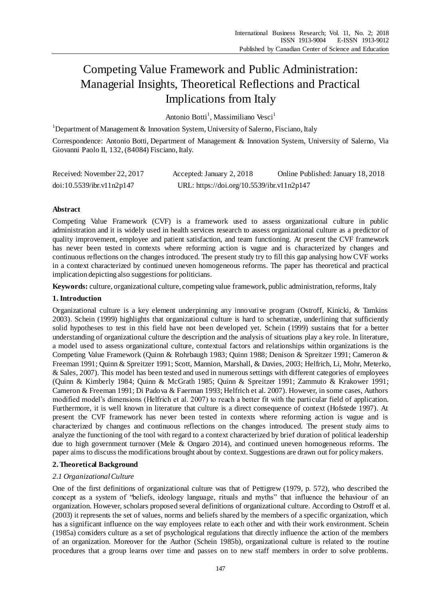# Competing Value Framework and Public Administration: Managerial Insights, Theoretical Reflections and Practical Implications from Italy

Antonio Botti<sup>1</sup>, Massimiliano Vesci<sup>1</sup>

<sup>1</sup>Department of Management & Innovation System, University of Salerno, Fisciano, Italy

Correspondence: Antonio Botti, Department of Management & Innovation System, University of Salerno, Via Giovanni Paolo II, 132,(84084) Fisciano, Italy.

| Received: November 22, 2017 | Accepted: January 2, 2018                  | Online Published: January 18, 2018 |
|-----------------------------|--------------------------------------------|------------------------------------|
| doi:10.5539/ibr.v11n2p147   | URL: https://doi.org/10.5539/ibr.v11n2p147 |                                    |

# **Abstract**

Competing Value Framework (CVF) is a framework used to assess organizational culture in public administration and it is widely used in health services research to assess organizational culture as a predictor of quality improvement, employee and patient satisfaction, and team functioning. At present the CVF framework has never been tested in contexts where reforming action is vague and is characterized by changes and continuous reflections on the changes introduced. The present study try to fill this gap analysing how CVF works in a context characterized by continued uneven homogeneous reforms. The paper has theoretical and practical implication depicting also suggestions for politicians.

**Keywords:** culture, organizational culture, competing value framework, public administration, reforms, Italy

# **1. Introduction**

Organizational culture is a key element underpinning any innovative program (Ostroff, Kinicki, & Tamkins 2003). Schein (1999) highlights that organizational culture is hard to schematize, underlining that sufficiently solid hypotheses to test in this field have not been developed yet. Schein (1999) sustains that for a better understanding of organizational culture the description and the analysis of situations play a key role. In literature, a model used to assess organizational culture, contextual factors and relationships within organizations is the Competing Value Framework (Quinn & Rohrbaugh 1983; Quinn 1988; Denison & Spreitzer 1991; Cameron & Freeman 1991; Quinn & Spreitzer 1991; Scott, Mannion, Marshall, & Davies, 2003; Helfrich, Li, Mohr, Meterko, & Sales, 2007). This model has been tested and used in numerous settings with different categories of employees (Quinn & Kimberly 1984; Quinn & McGrath 1985; Quinn & Spreitzer 1991; Zammuto & Krakower 1991; Cameron & Freeman 1991; Di Padova & Faerman 1993; Helfrich et al. 2007). However, in some cases, Authors modified model's dimensions (Helfrich et al. 2007) to reach a better fit with the particular field of application. Furthermore, it is well known in literature that culture is a direct consequence of context (Hofstede 1997). At present the CVF framework has never been tested in contexts where reforming action is vague and is characterized by changes and continuous reflections on the changes introduced. The present study aims to analyze the functioning of the tool with regard to a context characterized by brief duration of political leadership due to high government turnover (Mele & Ongaro 2014), and continued uneven homogeneous reforms. The paper aims to discuss the modifications brought about by context. Suggestions are drawn out for policy makers.

# **2. Theoretical Background**

# *2.1 Organizational Culture*

One of the first definitions of organizational culture was that of Pettigrew (1979, p. 572), who described the concept as a system of "beliefs, ideology language, rituals and myths" that influence the behaviour of an organization. However, scholars proposed several definitions of organizational culture. According to Ostroff et al. (2003) it represents the set of values, norms and beliefs shared by the members of a specific organization, which has a significant influence on the way employees relate to each other and with their work environment. Schein (1985a) considers culture as a set of psychological regulations that directly influence the action of the members of an organization. Moreover for the Author (Schein 1985b), organizational culture is related to the routine procedures that a group learns over time and passes on to new staff members in order to solve problems.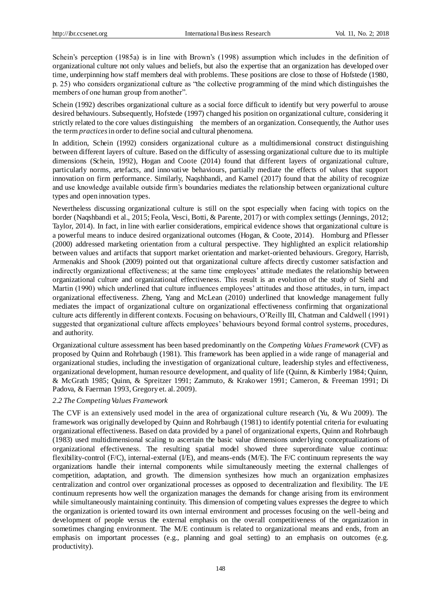Schein's perception (1985a) is in line with Brown's (1998) assumption which includes in the definition of organizational culture not only values and beliefs, but also the expertise that an organization has developed over time, underpinning how staff members deal with problems. These positions are close to those of Hofstede (1980, p. 25) who considers organizational culture as "the collective programming of the mind which distinguishes the members of one human group from another".

Schein (1992) describes organizational culture as a social force difficult to identify but very powerful to arouse desired behaviours. Subsequently, Hofstede (1997) changed his position on organizational culture, considering it strictly related to the core values distinguishing the members of an organization. Consequently, the Author uses the term *practices*in order to define social and cultural phenomena.

In addition, Schein (1992) considers organizational culture as a multidimensional construct distinguishing between different layers of culture. Based on the difficulty of assessing organizational culture due to its multiple dimensions (Schein, 1992), Hogan and Coote (2014) found that different layers of organizational culture, particularly norms, artefacts, and innovative behaviours, partially mediate the effects of values that support innovation on firm performance. Similarly, Naqshbandi, and Kamel (2017) found that the ability of recognize and use knowledge available outside firm's boundaries mediates the relationship between organizational culture types and open innovation types.

Nevertheless discussing organizational culture is still on the spot especially when facing with topics on the border (Naqshbandi et al., 2015; Feola, Vesci, Botti, & Parente, 2017) or with complex settings (Jennings, 2012; Taylor, 2014). In fact, in line with earlier considerations, empirical evidence shows that organizational culture is a powerful means to induce desired organizational outcomes (Hogan, & Coote, 2014). Homburg and Pflesser (2000) addressed marketing orientation from a cultural perspective. They highlighted an explicit relationship between values and artifacts that support market orientation and market-oriented behaviours. Gregory, Harrisb, Armenakis and Shook (2009) pointed out that organizational culture affects directly customer satisfaction and indirectly organizational effectiveness; at the same time employees' attitude mediates the relationship between organizational culture and organizational effectiveness. This result is an evolution of the study of Siehl and Martin (1990) which underlined that culture influences employees' attitudes and those attitudes, in turn, impact organizational effectiveness. Zheng, Yang and McLean (2010) underlined that knowledge management fully mediates the impact of organizational culture on organizational effectiveness confirming that organizational culture acts differently in different contexts. Focusing on behaviours, O'Reilly III, Chatman and Caldwell (1991) suggested that organizational culture affects employees' behaviours beyond formal control systems, procedures, and authority.

Organizational culture assessment has been based predominantly on the *Competing Values Framework* (CVF) as proposed by Quinn and Rohrbaugh (1981). This framework has been applied in a wide range of managerial and organizational studies, including the investigation of organizational culture, leadership styles and effectiveness, organizational development, human resource development, and quality of life (Quinn, & Kimberly 1984; Quinn, & McGrath 1985; Quinn, & Spreitzer 1991; Zammuto, & Krakower 1991; Cameron, & Freeman 1991; Di Padova, & Faerman 1993, Gregory et. al. 2009).

#### *2.2 The Competing Values Framework*

The CVF is an extensively used model in the area of organizational culture research (Yu, & Wu 2009). The framework was originally developed by Quinn and Rohrbaugh (1981) to identify potential criteria for evaluating organizational effectiveness. Based on data provided by a panel of organizational experts, Quinn and Rohrbaugh (1983) used multidimensional scaling to ascertain the basic value dimensions underlying conceptualizations of organizational effectiveness. The resulting spatial model showed three superordinate value continua: flexibility-control (F/C), internal-external (I/E), and means-ends (M/E). The F/C continuum represents the way organizations handle their internal components while simultaneously meeting the external challenges of competition, adaptation, and growth. The dimension synthesizes how much an organization emphasizes centralization and control over organizational processes as opposed to decentralization and flexibility. The I/E continuum represents how well the organization manages the demands for change arising from its environment while simultaneously maintaining continuity. This dimension of competing values expresses the degree to which the organization is oriented toward its own internal environment and processes focusing on the well-being and development of people versus the external emphasis on the overall competitiveness of the organization in sometimes changing environment. The M/E continuum is related to organizational means and ends, from an emphasis on important processes (e.g., planning and goal setting) to an emphasis on outcomes (e.g. productivity).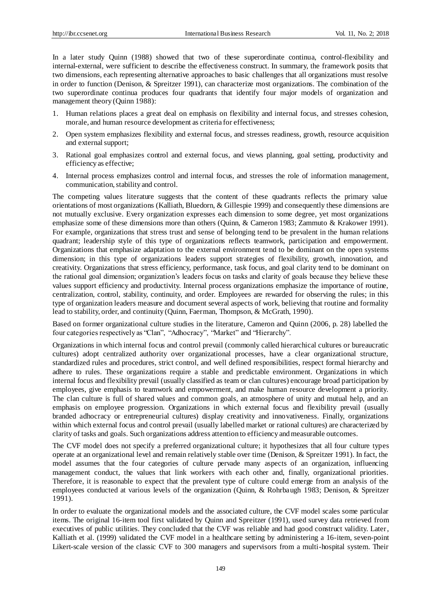In a later study Quinn (1988) showed that two of these superordinate continua, control-flexibility and internal-external, were sufficient to describe the effectiveness construct. In summary, the framework posits that two dimensions, each representing alternative approaches to basic challenges that all organizations must resolve in order to function (Denison, & Spreitzer 1991), can characterize most organizations. The combination of the two superordinate continua produces four quadrants that identify four major models of organization and management theory (Quinn 1988):

- 1. Human relations places a great deal on emphasis on flexibility and internal focus, and stresses cohesion, morale, and human resource development as criteria for effectiveness;
- 2. Open system emphasizes flexibility and external focus, and stresses readiness, growth, resource acquisition and external support;
- 3. Rational goal emphasizes control and external focus, and views planning, goal setting, productivity and efficiency as effective;
- 4. Internal process emphasizes control and internal focus, and stresses the role of information management, communication, stability and control.

The competing values literature suggests that the content of these quadrants reflects the primary value orientations of most organizations (Kalliath, Bluedorn, & Gillespie 1999) and consequently these dimensions are not mutually exclusive. Every organization expresses each dimension to some degree, yet most organizations emphasize some of these dimensions more than others (Quinn, & Cameron 1983; Zammuto & Krakower 1991). For example, organizations that stress trust and sense of belonging tend to be prevalent in the human relations quadrant; leadership style of this type of organizations reflects teamwork, participation and empowerment. Organizations that emphasize adaptation to the external environment tend to be dominant on the open systems dimension; in this type of organizations leaders support strategies of flexibility, growth, innovation, and creativity. Organizations that stress efficiency, performance, task focus, and goal clarity tend to be dominant on the rational goal dimension; organization's leaders focus on tasks and clarity of goals because they believe these values support efficiency and productivity. Internal process organizations emphasize the importance of routine, centralization, control, stability, continuity, and order. Employees are rewarded for observing the rules; in this type of organization leaders measure and document several aspects of work, believing that routine and formality lead to stability, order, and continuity (Quinn, Faerman, Thompson, & McGrath, 1990).

Based on former organizational culture studies in the literature, Cameron and Quinn (2006, p. 28) labelled the four categories respectively as "Clan", "Adhocracy", "Market" and "Hierarchy".

Organizations in which internal focus and control prevail (commonly called hierarchical cultures or bureaucratic cultures) adopt centralized authority over organizational processes, have a clear organizational structure, standardized rules and procedures, strict control, and well defined responsibilities, respect formal hierarchy and adhere to rules. These organizations require a stable and predictable environment. Organizations in which internal focus and flexibility prevail (usually classified as team or clan cultures) encourage broad participation by employees, give emphasis to teamwork and empowerment, and make human resource development a priority. The clan culture is full of shared values and common goals, an atmosphere of unity and mutual help, and an emphasis on employee progression. Organizations in which external focus and flexibility prevail (usually branded adhocracy or entrepreneurial cultures) display creativity and innovativeness. Finally, organizations within which external focus and control prevail (usually labelled market or rational cultures) are characterized by clarity of tasks and goals. Such organizations address attention to efficiency and measurable outcomes.

The CVF model does not specify a preferred organizational culture; it hypothesizes that all four culture types operate at an organizational level and remain relatively stable over time (Denison, & Spreitzer 1991). In fact, the model assumes that the four categories of culture pervade many aspects of an organization, influencing management conduct, the values that link workers with each other and, finally, organizational priorities. Therefore, it is reasonable to expect that the prevalent type of culture could emerge from an analysis of the employees conducted at various levels of the organization (Quinn, & Rohrbaugh 1983; Denison, & Spreitzer 1991).

In order to evaluate the organizational models and the associated culture, the CVF model scales some particular items. The original 16-item tool first validated by Quinn and Spreitzer (1991), used survey data retrieved from executives of public utilities. They concluded that the CVF was reliable and had good construct validity. Later, Kalliath et al. (1999) validated the CVF model in a healthcare setting by administering a 16-item, seven-point Likert-scale version of the classic CVF to 300 managers and supervisors from a multi-hospital system. Their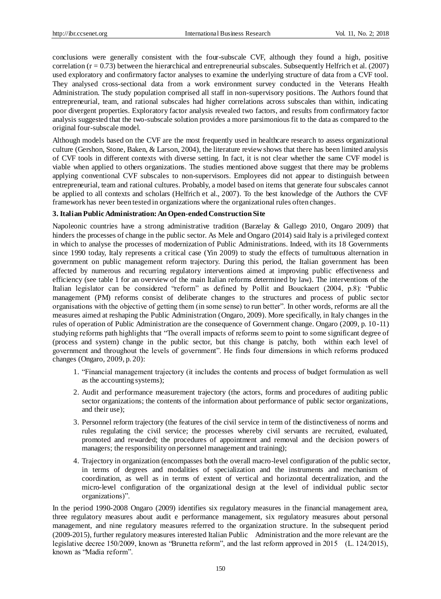conclusions were generally consistent with the four-subscale CVF, although they found a high, positive correlation  $(r = 0.73)$  between the hierarchical and entrepreneurial subscales. Subsequently Helfrich et al. (2007) used exploratory and confirmatory factor analyses to examine the underlying structure of data from a CVF tool. They analysed cross-sectional data from a work environment survey conducted in the Veterans Health Administration. The study population comprised all staff in non-supervisory positions. The Authors found that entrepreneurial, team, and rational subscales had higher correlations across subscales than within, indicating poor divergent properties. Exploratory factor analysis revealed two factors, and results from confirmatory factor analysis suggested that the two-subscale solution provides a more parsimonious fit to the data as compared to the original four-subscale model.

Although models based on the CVF are the most frequently used in healthcare research to assess organizational culture (Gershon, Stone, Baken, & Larson, 2004), the literature review shows that there has been limited analysis of CVF tools in different contexts with diverse setting. In fact, it is not clear whether the same CVF model is viable when applied to others organizations. The studies mentioned above suggest that there may be problems applying conventional CVF subscales to non-supervisors. Employees did not appear to distinguish between entrepreneurial, team and rational cultures. Probably, a model based on items that generate four subscales cannot be applied to all contexts and scholars (Helfrich et al., 2007). To the best knowledge of the Authors the CVF framework has never been tested in organizations where the organizational rules often changes.

#### **3. Italian Public Administration: An Open-ended Construction Site**

Napoleonic countries have a strong administrative tradition (Barzelay & Gallego 2010, Ongaro 2009) that hinders the processes of change in the public sector. As Mele and Ongaro (2014) said Italy is a privileged context in which to analyse the processes of modernization of Public Administrations. Indeed, with its 18 Governments since 1990 today, Italy represents a critical case (Yin 2009) to study the effects of tumultuous alternation in government on public management reform trajectory. During this period, the Italian government has been affected by numerous and recurring regulatory interventions aimed at improving public effectiveness and efficiency (see table 1 for an overview of the main Italian reforms determined by law). The interventions of the Italian legislator can be considered "reform" as defined by Pollit and Bouckaert (2004, p.8): "Public management (PM) reforms consist of deliberate changes to the structures and process of public sector organisations with the objective of getting them (in some sense) to run better". In other words, reforms are all the measures aimed at reshaping the Public Administration (Ongaro, 2009). More specifically, in Italy changes in the rules of operation of Public Administration are the consequence of Government change. Ongaro (2009, p. 10-11) studying reforms path highlights that "The overall impacts of reforms seem to point to some significant degree of (process and system) change in the public sector, but this change is patchy, both within each level of government and throughout the levels of government". He finds four dimensions in which reforms produced changes (Ongaro, 2009, p. 20):

- 1. "Financial management trajectory (it includes the contents and process of budget formulation as well as the accounting systems);
- 2. Audit and performance measurement trajectory (the actors, forms and procedures of auditing public sector organizations; the contents of the information about performance of public sector organizations, and their use);
- 3. Personnel reform trajectory (the features of the civil service in term of the distinctiveness of norms and rules regulating the civil service; the processes whereby civil servants are recruited, evaluated, promoted and rewarded; the procedures of appointment and removal and the decision powers of managers; the responsibility on personnel management and training);
- 4. Trajectory in organization (encompasses both the overall macro-level configuration of the public sector, in terms of degrees and modalities of specialization and the instruments and mechanism of coordination, as well as in terms of extent of vertical and horizontal decentralization, and the micro-level configuration of the organizational design at the level of individual public sector organizations)".

In the period 1990-2008 Ongaro (2009) identifies six regulatory measures in the financial management area, three regulatory measures about audit e performance management, six regulatory measures about personal management, and nine regulatory measures referred to the organization structure. In the subsequent period (2009-2015), further regulatory measures interested Italian Public Administration and the more relevant are the legislative decree 150/2009, known as "Brunetta reform", and the last reform approved in 2015 (L. 124/2015), known as "Madia reform".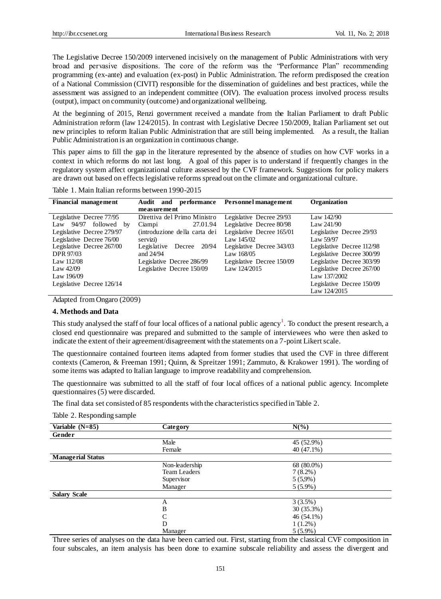The Legislative Decree 150/2009 intervened incisively on the management of Public Administrations with very broad and pervasive dispositions. The core of the reform was the "Performance Plan" recommending programming (ex-ante) and evaluation (ex-post) in Public Administration. The reform predisposed the creation of a National Commission (CIVIT) responsible for the dissemination of guidelines and best practices, while the assessment was assigned to an independent committee (OIV). The evaluation process involved process results (output), impact on community (outcome) and organizational wellbeing.

At the beginning of 2015, Renzi government received a mandate from the Italian Parliament to draft Public Administration reform (law 124/2015). In contrast with Legislative Decree 150/2009, Italian Parliament set out new principles to reform Italian Public Administration that are still being implemented. As a result, the Italian Public Administration is an organization in continuous change.

This paper aims to fill the gap in the literature represented by the absence of studies on how CVF works in a context in which reforms do not last long. A goal of this paper is to understand if frequently changes in the regulatory system affect organizational culture assessed by the CVF framework. Suggestions for policy makers are drawn out based on effects legislative reforms spread out on the climate and organizational culture.

|  |  |  |  |  |  | Table 1. Main Italian reforms between 1990-2015 |
|--|--|--|--|--|--|-------------------------------------------------|
|--|--|--|--|--|--|-------------------------------------------------|

| <b>Financial management</b> | Audit<br>and performance       | Personnel management      | Organization              |
|-----------------------------|--------------------------------|---------------------------|---------------------------|
|                             | measurement                    |                           |                           |
| Legislative Decree 77/95    | Direttiva del Primo Ministro   | Legislative Decree 29/93  | Law 142/90                |
| Law 94/97 followed by       | 27.01.94<br>Ciampi             | Legislative Decree 80/98  | Law 241/90                |
| Legislative Decree 279/97   | (introduzione della carta dei  | Legislative Decree 165/01 | Legislative Decree 29/93  |
| Legislative Decree 76/00    | servizi)                       | Law 145/02                | Law 59/97                 |
| Legislative Decree 267/00   | Legislative<br>Decree<br>20/94 | Legislative Decree 343/03 | Legislative Decree 112/98 |
| <b>DPR</b> 97/03            | and 24/94                      | Law 168/05                | Legislative Decree 300/99 |
| Law 112/08                  | Legislative Decree 286/99      | Legislative Decree 150/09 | Legislative Decree 303/99 |
| Law 42/09                   | Legislative Decree 150/09      | Law 124/2015              | Legislative Decree 267/00 |
| Law 196/09                  |                                |                           | Law 137/2002              |
| Legislative Decree 126/14   |                                |                           | Legislative Decree 150/09 |
|                             |                                |                           | Law 124/2015              |

Adapted from Ongaro (2009)

#### **4. Methods and Data**

This study analysed the staff of four local offices of a national public agency<sup>1</sup>. To conduct the present research, a closed end questionnaire was prepared and submitted to the sample of interviewees who were then asked to indicate the extent of their agreement/disagreement with the statements on a 7-point Likert scale.

The questionnaire contained fourteen items adapted from former studies that used the CVF in three different contexts (Cameron, & Freeman 1991; Quinn, & Spreitzer 1991; Zammuto, & Krakower 1991). The wording of some items was adapted to Italian language to improve readability and comprehension.

The questionnaire was submitted to all the staff of four local offices of a national public agency. Incomplete questionnaires (5) were discarded.

The final data set consisted of 85 respondents with the characteristics specified in Table 2.

Table 2. Responding sample

| Variable $(N=85)$        | Category            | $N(\%)$      |  |
|--------------------------|---------------------|--------------|--|
| Gender                   |                     |              |  |
|                          | Male                | 45 (52.9%)   |  |
|                          | Female              | 40 (47.1%)   |  |
| <b>Managerial Status</b> |                     |              |  |
|                          | Non-leadership      | 68 (80.0%)   |  |
|                          | <b>Team Leaders</b> | $7(8.2\%)$   |  |
|                          | Supervisor          | $5(5,9\%)$   |  |
|                          | Manager             | $5(5.9\%)$   |  |
| <b>Salary Scale</b>      |                     |              |  |
|                          | A                   | $3(3.5\%)$   |  |
|                          | B                   | $30(35.3\%)$ |  |
|                          | C                   | 46 (54.1%)   |  |
|                          | D                   | $1(1.2\%)$   |  |
|                          | Manager             | $5(5.9\%)$   |  |

Three series of analyses on the data have been carried out. First, starting from the classical CVF composition in four subscales, an item analysis has been done to examine subscale reliability and assess the divergent and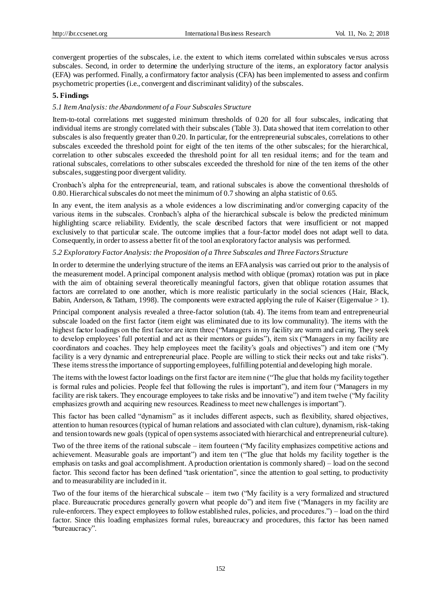convergent properties of the subscales, i.e. the extent to which items correlated within subscales ve rsus across subscales. Second, in order to determine the underlying structure of the items, an exploratory factor analysis (EFA) was performed. Finally, a confirmatory factor analysis (CFA) has been implemented to assess and confirm psychometric properties (i.e., convergent and discriminant validity) of the subscales.

### **5. Findings**

#### *5.1 Item Analysis: the Abandonment of a Four Subscales Structure*

Item-to-total correlations met suggested minimum thresholds of 0.20 for all four subscales, indicating that individual items are strongly correlated with their subscales (Table 3). Data showed that item correlation to other subscales is also frequently greater than 0.20. In particular, for the entrepreneurial subscales, correlations to other subscales exceeded the threshold point for eight of the ten items of the other subscales; for the hierarchical, correlation to other subscales exceeded the threshold point for all ten residual items; and for the team and rational subscales, correlations to other subscales exceeded the threshold for nine of the ten items of the other subscales, suggesting poor divergent validity.

Cronbach's alpha for the entrepreneurial, team, and rational subscales is above the conventional thresholds of 0.80. Hierarchical subscales do not meet the minimum of 0.7 showing an alpha statistic of 0.65.

In any event, the item analysis as a whole evidences a low discriminating and/or converging capacity of the various items in the subscales. Cronbach's alpha of the hierarchical subscale is below the predicted minimum highlighting scarce reliability. Evidently, the scale described factors that were insufficient or not mapped exclusively to that particular scale. The outcome implies that a four-factor model does not adapt well to data. Consequently, in order to assess a better fit of the tool an exploratory factor analysis was performed.

#### *5.2 Exploratory Factor Analysis: the Proposition of a Three Subscales and Three Factors Structure*

In order to determine the underlying structure of the items an EFA analysis was carried out prior to the analysis of the measurement model. A principal component analysis method with oblique (promax) rotation was put in place with the aim of obtaining several theoretically meaningful factors, given that oblique rotation assumes that factors are correlated to one another, which is more realistic particularly in the social sciences (Hair, Black, Babin, Anderson, & Tatham, 1998). The components were extracted applying the rule of Kaiser (Eigenvalue > 1).

Principal component analysis revealed a three-factor solution (tab. 4). The items from team and entrepreneurial subscale loaded on the first factor (item eight was eliminated due to its low communality). The items with the highest factor loadings on the first factor are item three ("Managers in my facility are warm and caring. They seek to develop employees' full potential and act as their mentors or guides"), item six ("Managers in my facility are coordinators and coaches. They help employees meet the facility's goals and objectives") and item one ("My facility is a very dynamic and entrepreneurial place. People are willing to stick their necks out and take risks"). These items stress the importance of supporting employees, fulfilling potential and developing high morale.

The items with the lowest factor loadings on the first factor are item nine ("The glue that holds my facility together is formal rules and policies. People feel that following the rules is important"), and item four ("Managers in my facility are risk takers. They encourage employees to take risks and be innovative") and item twelve ("My facility emphasizes growth and acquiring new resources. Readiness to meet new challenges is important").

This factor has been called "dynamism" as it includes different aspects, such as flexibility, shared objectives, attention to human resources (typical of human relations and associated with clan culture), dynamism, risk-taking and tension towards new goals (typical of open systems associated with hierarchical and entrepreneurial culture).

Two of the three items of the rational subscale – item fourteen ("My facility emphasizes competitive actions and achievement. Measurable goals are important") and item ten ("The glue that holds my facility together is the emphasis on tasks and goal accomplishment. A production orientation is commonly shared) – load on the second factor. This second factor has been defined "task orientation", since the attention to goal setting, to productivity and to measurability are included in it.

Two of the four items of the hierarchical subscale – item two ("My facility is a very formalized and structured place. Bureaucratic procedures generally govern what people do") and item five ("Managers in my facility are rule-enforcers. They expect employees to follow established rules, policies, and procedures.") – load on the third factor. Since this loading emphasizes formal rules, bureaucracy and procedures, this factor has been named "bureaucracy".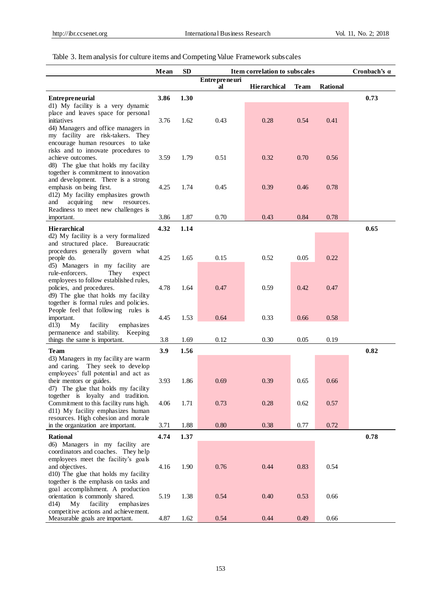# Table 3. Item analysis for culture items and Competing Value Framework subscales

|                                                                                                                                                                                                          | Mean | <b>SD</b> | Item correlation to subscales |              |             | Cronbach's a    |      |
|----------------------------------------------------------------------------------------------------------------------------------------------------------------------------------------------------------|------|-----------|-------------------------------|--------------|-------------|-----------------|------|
|                                                                                                                                                                                                          |      |           | <b>Entrepreneuri</b><br>al    | Hierarchical | <b>Team</b> | <b>Rational</b> |      |
| <b>Entrepreneurial</b>                                                                                                                                                                                   | 3.86 | 1.30      |                               |              |             |                 | 0.73 |
| d1) My facility is a very dynamic<br>place and leaves space for personal<br>initiatives<br>d4) Managers and office managers in<br>my facility are risk-takers. They<br>encourage human resources to take | 3.76 | 1.62      | 0.43                          | 0.28         | 0.54        | 0.41            |      |
| risks and to innovate procedures to<br>achieve outcomes.<br>d8) The glue that holds my facility<br>together is commitment to innovation                                                                  | 3.59 | 1.79      | 0.51                          | 0.32         | 0.70        | 0.56            |      |
| and development. There is a strong<br>emphasis on being first.<br>d12) My facility emphasizes growth<br>acquiring<br>new<br>and<br>resources.<br>Readiness to meet new challenges is                     | 4.25 | 1.74      | 0.45                          | 0.39         | 0.46        | 0.78            |      |
| important.                                                                                                                                                                                               | 3.86 | 1.87      | 0.70                          | 0.43         | 0.84        | 0.78            |      |
| <b>Hierarchical</b>                                                                                                                                                                                      | 4.32 | 1.14      |                               |              |             |                 | 0.65 |
| d2) My facility is a very formalized<br>and structured place.<br>Bureaucratic<br>procedures generally govern what<br>people do.<br>d5) Managers in my facility are                                       | 4.25 | 1.65      | 0.15                          | 0.52         | 0.05        | 0.22            |      |
| rule-enforcers.<br>They<br>expect<br>employees to follow established rules,<br>policies, and procedures.<br>d9) The glue that holds my facility<br>together is formal rules and policies.                | 4.78 | 1.64      | 0.47                          | 0.59         | 0.42        | 0.47            |      |
| People feel that following rules is<br>important.<br>d13<br>My<br>facility<br>emphasizes                                                                                                                 | 4.45 | 1.53      | 0.64                          | 0.33         | 0.66        | 0.58            |      |
| permanence and stability.<br>Keeping<br>things the same is important.                                                                                                                                    | 3.8  | 1.69      | 0.12                          | 0.30         | 0.05        | 0.19            |      |
| Team                                                                                                                                                                                                     | 3.9  | 1.56      |                               |              |             |                 | 0.82 |
| d3) Managers in my facility are warm<br>and caring. They seek to develop<br>employees' full potential and act as<br>their mentors or guides.<br>d7) The glue that holds my facility                      | 3.93 | 1.86      | 0.69                          | 0.39         | 0.65        | 0.66            |      |
| together is loyalty and tradition.<br>Commitment to this facility runs high.<br>d11) My facility emphasizes human<br>resources. High cohesion and morale                                                 | 4.06 | 1.71      | 0.73                          | 0.28         | 0.62        | 0.57            |      |
| in the organization are important.                                                                                                                                                                       | 3.71 | 1.88      | 0.80                          | 0.38         | 0.77        | 0.72            |      |
| <b>Rational</b><br>d6) Managers in my facility are                                                                                                                                                       | 4.74 | 1.37      |                               |              |             |                 | 0.78 |
| coordinators and coaches. They help<br>employees meet the facility's goals<br>and objectives.<br>d10) The glue that holds my facility<br>together is the emphasis on tasks and                           | 4.16 | 1.90      | 0.76                          | 0.44         | 0.83        | 0.54            |      |
| goal accomplishment. A production<br>orientation is commonly shared.<br>d14<br>My<br>facility<br>emphasizes<br>competitive actions and achievement.                                                      | 5.19 | 1.38      | 0.54                          | 0.40         | 0.53        | 0.66            |      |
| Measurable goals are important.                                                                                                                                                                          | 4.87 | 1.62      | 0.54                          | 0.44         | 0.49        | 0.66            |      |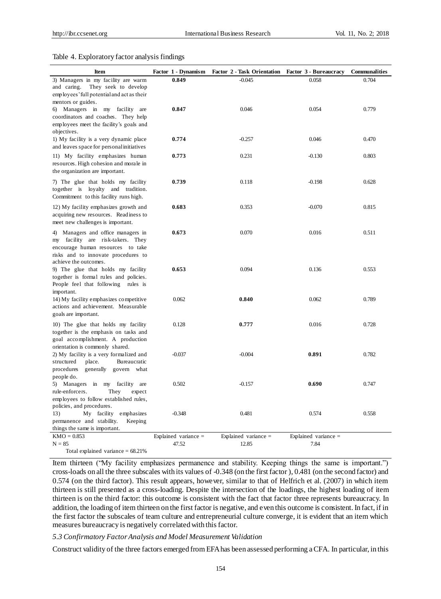#### Table 4. Exploratory factor analysis findings

| Item                                                                                                                                                                            | Factor 1 - Dynamism  | Factor 2 - Task Orientation Factor 3 - Bureaucracy |                      | <b>Communalities</b> |
|---------------------------------------------------------------------------------------------------------------------------------------------------------------------------------|----------------------|----------------------------------------------------|----------------------|----------------------|
| 3) Managers in my facility are warm<br>They seek to develop<br>and caring.<br>employees' full potential and act as their                                                        | 0.849                | -0.045                                             | 0.058                | 0.704                |
| mentors or guides.<br>6) Managers in my facility are<br>coordinators and coaches. They help<br>employees meet the facility's goals and<br>objectives.                           | 0.847                | 0.046                                              | 0.054                | 0.779                |
| 1) My facility is a very dynamic place<br>and leaves space for personal initiatives                                                                                             | 0.774                | $-0.257$                                           | 0.046                | 0.470                |
| 11) My facility emphasizes human<br>resources. High cohesion and morale in<br>the organization are important.                                                                   | 0.773                | 0.231                                              | $-0.130$             | 0.803                |
| 7) The glue that holds my facility<br>together is loyalty and tradition.<br>Commitment to this facility runs high.                                                              | 0.739                | 0.118                                              | $-0.198$             | 0.628                |
| 12) My facility emphasizes growth and<br>acquiring new resources. Readiness to<br>meet new challenges is important.                                                             | 0.683                | 0.353                                              | $-0.070$             | 0.815                |
| 4) Managers and office managers in<br>facility are risk-takers. They<br>my<br>encourage human resources to take<br>risks and to innovate procedures to<br>achieve the outcomes. | 0.673                | 0.070                                              | 0.016                | 0.511                |
| 9) The glue that holds my facility<br>together is formal rules and policies.<br>People feel that following<br>rules is<br>important.                                            | 0.653                | 0.094                                              | 0.136                | 0.553                |
| 14) My facility emphasizes competitive<br>actions and achievement. Measurable<br>goals are important.                                                                           | 0.062                | 0.840                                              | 0.062                | 0.789                |
| 10) The glue that holds my facility<br>together is the emphasis on tasks and<br>goal accomplishment. A production<br>orientation is commonly shared.                            | 0.128                | 0.777                                              | 0.016                | 0.728                |
| 2) My facility is a very formalized and<br>structured<br>place.<br>Bureaucratic<br>procedures<br>generally<br>govern what<br>people do.                                         | $-0.037$             | $-0.004$                                           | 0.891                | 0.782                |
| facility<br>5) Managers in my<br>are<br>rule-enforcers.<br>They<br>expect<br>employees to follow established rules,<br>policies, and procedures.                                | 0.502                | $-0.157$                                           | 0.690                | 0.747                |
| My facility emphasizes<br>13)<br>permanence and stability.<br>Keeping<br>things the same is important.                                                                          | $-0.348$             | 0.481                                              | 0.574                | 0.558                |
| $KMO = 0.853$                                                                                                                                                                   | Explained variance = | Explained variance =                               | Explained variance = |                      |
| $N = 85$                                                                                                                                                                        | 47.52                | 12.85                                              | 7.84                 |                      |
| Total explained variance $= 68.21\%$                                                                                                                                            |                      |                                                    |                      |                      |

Item thirteen ("My facility emphasizes permanence and stability. Keeping things the same is important.") cross-loads on all the three subscales with its values of -0.348 (on the first factor ), 0.481 (on the second factor) and 0.574 (on the third factor). This result appears, however, similar to that of Helfrich et al. (2007) in which item thirteen is still presented as a cross-loading. Despite the intersection of the loadings, the highest loading of item thirteen is on the third factor: this outcome is consistent with the fact that factor three represents bureaucracy. In addition, the loading of item thirteen on the first factor is negative, and even this outcome is consistent. In fact, if in the first factor the subscales of team culture and entrepreneurial culture converge, it is evident that an item which measures bureaucracy is negatively correlated with this factor.

#### *5.3 Confirmatory Factor Analysis and Model Measurement Validation*

Construct validity of the three factors emerged from EFA has been assessed performing a CFA. In particular, in this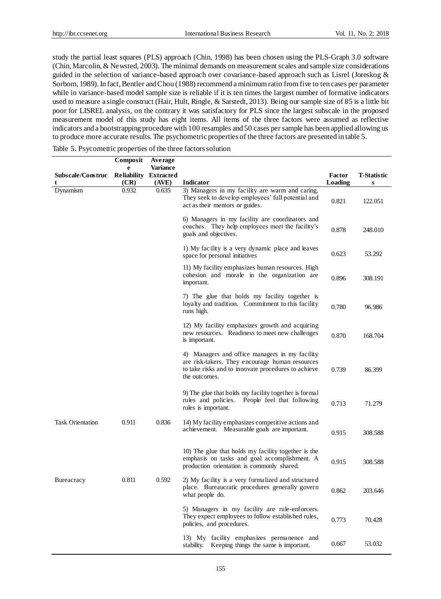study the partial least squares (PLS) approach (Chin, 1998) has been chosen using the PLS-Graph 3.0 software (Chin, Marcolin, & Newsted, 2003). The minimal demands on measurement scales and sample size considerations guided in the selection of variance-based approach over covariance-based approach such as Lisrel (Joreskog & Sorbom, 1989). In fact, Bentler and Chou (1988) recommend a minimum ratio from five to ten cases per parameter while in variance-based model sample size is reliable if it is ten times the largest number of formative indicators used to measure a single construct (Hair, Hult, Ringle, & Sarstedt, 2013). Being our sample size of 85 is a little bit poor for LISREL analysis, on the contrary it was satisfactory for PLS since the largest subscale in the proposed measurement model of this study has eight items. All items of the three factors were assumed as reflective indicators and a bootstrapping procedure with 100 resamples and 50 cases per sample has been applied allowing us to produce more accurate results. The psychometric properties of the three factors are presented in table 5.

|                         | Composit<br>e                        | Average<br><b>Variance</b> |                                                                                                                                                                           |                   |                         |
|-------------------------|--------------------------------------|----------------------------|---------------------------------------------------------------------------------------------------------------------------------------------------------------------------|-------------------|-------------------------|
| Subscale/Construc<br>t  | <b>Reliability Extracted</b><br>(CR) | (AVE)                      | <b>Indicator</b>                                                                                                                                                          | Factor<br>Loading | <b>T-Statistic</b><br>S |
| Dynamism                | 0.932                                | 0.635                      | 3) Managers in my facility are warm and caring.<br>They seek to develop employees' full potential and<br>act as their mentors or guides.                                  | 0.821             | 122.051                 |
|                         |                                      |                            | 6) Managers in my facility are coordinators and<br>coaches. They help employees meet the facility's<br>goals and objectives.                                              | 0.878             | 248.010                 |
|                         |                                      |                            | 1) My facility is a very dynamic place and leaves<br>space for personal initiatives                                                                                       | 0.623             | 53.292                  |
|                         |                                      |                            | 11) My facility emphasizes human resources. High<br>cohesion and morale in the organization are<br>important.                                                             | 0.896             | 308.191                 |
|                         |                                      |                            | 7) The glue that holds my facility together is<br>loyalty and tradition. Commitment to this facility<br>runs high.                                                        | 0.780             | 96.986                  |
|                         |                                      |                            | 12) My facility emphasizes growth and acquiring<br>new resources. Readiness to meet new challenges<br>is important.                                                       | 0.870             | 168.704                 |
|                         |                                      |                            | 4) Managers and office managers in my facility<br>are risk-takers. They encourage human resources<br>to take risks and to innovate procedures to achieve<br>the outcomes. | 0.739             | 86.399                  |
|                         |                                      |                            | 9) The glue that holds my facility together is formal<br>rules and policies.<br>People feel that following<br>rules is important.                                         | 0.713             | 71.279                  |
| <b>Task Orientation</b> | 0.911                                | 0.836                      | 14) My facility emphasizes competitive actions and<br>achievement. Measurable goals are important.                                                                        | 0.915             | 308.588                 |
|                         |                                      |                            | 10) The glue that holds my facility together is the<br>emphasis on tasks and goal accomplishment. A<br>production orientation is commonly shared.                         | 0.915             | 308.588                 |
| Bureacracy              | 0.811                                | 0.592                      | 2) My facility is a very formalized and structured<br>place. Bureaucratic procedures generally govern<br>what people do.                                                  | 0.862             | 203.646                 |
|                         |                                      |                            | 5) Managers in my facility are rule-enforcers.<br>They expect employees to follow established rules,<br>policies, and procedures.                                         | 0.773             | 70.428                  |
|                         |                                      |                            | 13) My facility emphasizes permanence and<br>Keeping things the same is important.<br>stability.                                                                          | 0.667             | 53.032                  |

|  | Table 5. Psycometric properties of the three factors solution |  |  |  |  |  |
|--|---------------------------------------------------------------|--|--|--|--|--|
|--|---------------------------------------------------------------|--|--|--|--|--|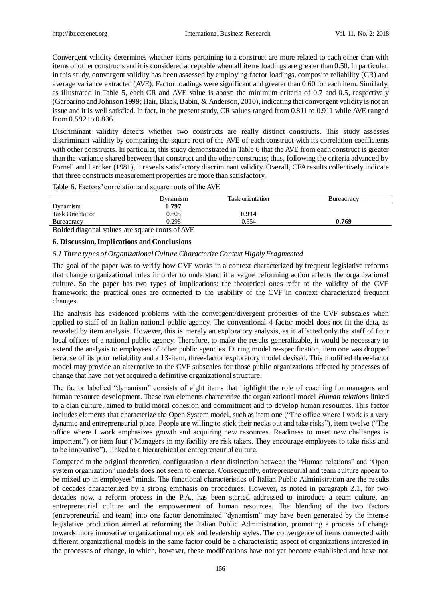Convergent validity determines whether items pertaining to a construct are more related to each other than with items of other constructs and it is considered acceptable when all items loadings are greater than 0.50. In particular, in this study, convergent validity has been assessed by employing factor loadings, composite reliability (CR) and average variance extracted (AVE). Factor loadings were significant and greater than 0.60 for each item. Similarly, as illustrated in Table 5, each CR and AVE value is above the minimum criteria of 0.7 and 0.5, respectively (Garbarino and Johnson 1999; Hair, Black, Babin, & Anderson, 2010), indicating that convergent validity is not an issue and it is well satisfied. In fact, in the present study, CR values ranged from 0.811 to 0.911 while AVE ranged from 0.592 to 0.836.

Discriminant validity detects whether two constructs are really distinct constructs. This study assesses discriminant validity by comparing the square root of the AVE of each construct with its correlation coefficients with other constructs. In particular, this study demonstrated in Table 6 that the AVE from each construct is greater than the variance shared between that construct and the other constructs; thus, following the criteria advanced by Fornell and Larcker (1981), it reveals satisfactory discriminant validity. Overall, CFA results collectively indicate that three constructs measurement properties are more than satisfactory.

Table 6. Factors' correlation and square roots of the AVE

|                         | Dvnamism                              | Task orientation | Bureacracy |  |
|-------------------------|---------------------------------------|------------------|------------|--|
| Dynamism                | 0.797                                 |                  |            |  |
| <b>Task Orientation</b> | 0.605                                 | 0.914            |            |  |
| Bureacracy              | 0.298                                 | 0.354            | 0.769      |  |
| <b>DIDIDID</b>          | $\sim$ $\alpha$ $\lambda$ $\pi$ $\pi$ |                  |            |  |

Bolded diagonal values are square roots of AVE

# **6. Discussion, Implications and Conclusions**

# *6.1 Three types of Organizational Culture Characterize Context Highly Fragmented*

The goal of the paper was to verify how CVF works in a context characterized by frequent legislative reforms that change organizational rules in order to understand if a vague reforming action affects the organizational culture. So the paper has two types of implications: the theoretical ones refer to the validity of the CVF framework: the practical ones are connected to the usability of the CVF in context characterized frequent changes.

The analysis has evidenced problems with the convergent/divergent properties of the CVF subscales when applied to staff of an Italian national public agency. The conventional 4-factor model does not fit the data, as revealed by item analysis. However, this is merely an exploratory analysis, as it affected only the staff of four local offices of a national public agency. Therefore, to make the results generalizable, it would be necessary to extend the analysis to employees of other public agencies. During model re-specification, item one was dropped because of its poor reliability and a 13-item, three-factor exploratory model devised. This modified three-factor model may provide an alternative to the CVF subscales for those public organizations affected by processes of change that have not yet acquired a definitive organizational structure.

The factor labelled "dynamism" consists of eight items that highlight the role of coaching for managers and human resource development. These two elements characterize the organizational model *Human relations* linked to a clan culture, aimed to build moral cohesion and commitment and to develop human resources. This factor includes elements that characterize the Open System model, such as item one ("The office where I work is a very dynamic and entrepreneurial place. People are willing to stick their necks out and take risks"), item twelve ("The office where I work emphasizes growth and acquiring new resources. Readiness to meet new challenges is important.") or item four ("Managers in my facility are risk takers. They encourage employees to take risks and to be innovative"), linked to a hierarchical or entrepreneurial culture.

Compared to the original theoretical configuration a clear distinction between the "Human relations" and "Open system organization" models does not seem to emerge. Consequently, entrepreneurial and team culture appear to be mixed up in employees' minds. The functional characteristics of Italian Public Administration are the re sults of decades characterized by a strong emphasis on procedures. However, as noted in paragraph 2.1, for two decades now, a reform process in the P.A., has been started addressed to introduce a team culture, an entrepreneurial culture and the empowerment of human resources. The blending of the two factors (entrepreneurial and team) into one factor denominated "dynamism" may have been generated by the intense legislative production aimed at reforming the Italian Public Administration, promoting a process of change towards more innovative organizational models and leadership styles. The convergence of items connected with different organizational models in the same factor could be a characteristic aspect of organizations interested in the processes of change, in which, however, these modifications have not yet become established and have not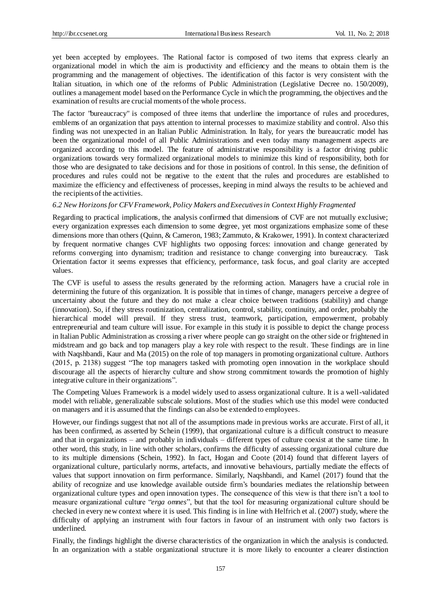yet been accepted by employees. The Rational factor is composed of two items that express clearly an organizational model in which the aim is productivity and efficiency and the means to obtain them is the programming and the management of objectives. The identification of this factor is very consistent with the Italian situation, in which one of the reforms of Public Administration (Legislative Decree no. 150/2009), outlines a management model based on the Performance Cycle in which the programming, the objectives and the examination of results are crucial moments of the whole process.

The factor "bureaucracy" is composed of three items that underline the importance of rules and procedures, emblems of an organization that pays attention to internal processes to maximize stability and control. Also this finding was not unexpected in an Italian Public Administration. In Italy, for years the bureaucratic model has been the organizational model of all Public Administrations and even today many management aspects are organized according to this model. The feature of administrative responsibility is a factor driving public organizations towards very formalized organizational models to minimize this kind of responsibility, both for those who are designated to take decisions and for those in positions of control. In this sense, the definition of procedures and rules could not be negative to the extent that the rules and procedures are established to maximize the efficiency and effectiveness of processes, keeping in mind always the results to be achieved and the recipients of the activities.

#### *6.2 New Horizons for CFV Framework, Policy Makers and Executives in Context Highly Fragmented*

Regarding to practical implications, the analysis confirmed that dimensions of CVF are not mutually exclusive; every organization expresses each dimension to some degree, yet most organizations emphasize some of these dimensions more than others (Quinn, & Cameron, 1983; Zammuto, & Krakower, 1991). In context characterized by frequent normative changes CVF highlights two opposing forces: innovation and change generated by reforms converging into dynamism; tradition and resistance to change converging into bureaucracy. Task Orientation factor it seems expresses that efficiency, performance, task focus, and goal clarity are accepted values.

The CVF is useful to assess the results generated by the reforming action. Managers have a crucial role in determining the future of this organization. It is possible that in times of change, managers perceive a degree of uncertainty about the future and they do not make a clear choice between traditions (stability) and change (innovation). So, if they stress routinization, centralization, control, stability, continuity, and order, probably the hierarchical model will prevail. If they stress trust, teamwork, participation, empowerment, probably entrepreneurial and team culture will issue. For example in this study it is possible to depict the change process in Italian Public Administration as crossing a river where people can go straight on the other side or frightened in midstream and go back and top managers play a key role with respect to the result. These findings are in line with Naqshbandi, Kaur and Ma (2015) on the role of top managers in promoting organizational culture. Authors (2015, p. 2138) suggest "The top managers tasked with promoting open innovation in the workplace should discourage all the aspects of hierarchy culture and show strong commitment towards the promotion of highly integrative culture in their organizations".

The Competing Values Framework is a model widely used to assess organizational culture. It is a well-validated model with reliable, generalizable subscale solutions. Most of the studies which use this model were conducted on managers and it is assumed that the findings can also be extended to employees.

However, our findings suggest that not all of the assumptions made in previous works are accurate. First of all, it has been confirmed, as asserted by Schein (1999), that organizational culture is a difficult construct to measure and that in organizations – and probably in individuals – different types of culture coexist at the same time. In other word, this study, in line with other scholars, confirms the difficulty of assessing organizational culture due to its multiple dimensions (Schein, 1992). In fact, Hogan and Coote (2014) found that different layers of organizational culture, particularly norms, artefacts, and innovative behaviours, partially mediate the effects of values that support innovation on firm performance. Similarly, Naqshbandi, and Kamel (2017) found that the ability of recognize and use knowledge available outside firm's boundaries mediates the relationship between organizational culture types and open innovation types. The consequence of this view is that there isn't a tool to measure organizational culture "*erga omnes*", but that the tool for measuring organizational culture should be checked in every new context where it is used. This finding is in line with Helfrich et al. (2007) study, where the difficulty of applying an instrument with four factors in favour of an instrument with only two factors is underlined.

Finally, the findings highlight the diverse characteristics of the organization in which the analysis is conducted. In an organization with a stable organizational structure it is more likely to encounter a clearer distinction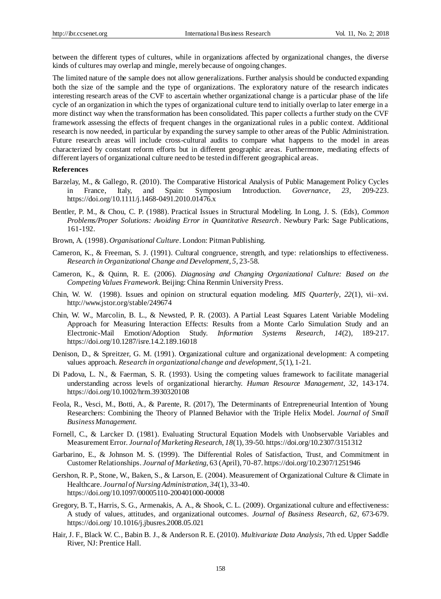between the different types of cultures, while in organizations affected by organizational changes, the diverse kinds of cultures may overlap and mingle, merely because of ongoing changes.

The limited nature of the sample does not allow generalizations. Further analysis should be conducted expanding both the size of the sample and the type of organizations. The exploratory nature of the research indicates interesting research areas of the CVF to ascertain whether organizational change is a particular phase of the life cycle of an organization in which the types of organizational culture tend to initially overlap to later emerge in a more distinct way when the transformation has been consolidated. This paper collects a further study on the CVF framework assessing the effects of frequent changes in the organizational rules in a public context. Additional research is now needed, in particular by expanding the survey sample to other areas of the Public Administration. Future research areas will include cross-cultural audits to compare what happens to the model in areas characterized by constant reform efforts but in different geographic areas. Furthermore, mediating effects of different layers of organizational culture need to be tested in different geographical areas.

#### **References**

- Barzelay, M., & Gallego, R. (2010). The Comparative Historical Analysis of Public Management Policy Cycles in France, Italy, and Spain: Symposium Introduction. *Governance*, *23,* 209-223. https://doi.org/10.1111/j.1468-0491.2010.01476.x
- Bentler, P. M., & Chou, C. P. (1988). Practical Issues in Structural Modeling. In Long, J. S. (Eds), *Common Problems/Proper Solutions: Avoiding Error in Quantitative Research*. Newbury Park: Sage Publications, 161-192.
- Brown, A. (1998). *Organisational Culture*. London: Pitman Publishing.
- Cameron, K., & Freeman, S. J. (1991). Cultural congruence, strength, and type: relationships to effectiveness. *Research in Organizational Change and Development*, *5,* 23-58.
- Cameron, K., & Quinn, R. E. (2006). *Diagnosing and Changing Organizational Culture: Based on the Competing Values Framework.* Beijing: China Renmin University Press.
- Chin, W. W. (1998). Issues and opinion on structural equation modeling. *MIS Quarterly*, *22*(1), vii–xvi. http://www.jstor.org/stable/249674
- Chin, W. W., Marcolin, B. L., & Newsted, P. R. (2003). A Partial Least Squares Latent Variable Modeling Approach for Measuring Interaction Effects: Results from a Monte Carlo Simulation Study and an Electronic-Mail Emotion/Adoption Study. *Information Systems Research*, *14*(2), 189-217. https://doi.org/10.1287/isre.14.2.189.16018
- Denison, D., & Spreitzer, G. M. (1991). Organizational culture and organizational development: A competing values approach. *Research in organizational change and development*, *5*(1), 1-21.
- Di Padova, L. N., & Faerman, S. R. (1993). Using the competing values framework to facilitate managerial understanding across levels of organizational hierarchy. *Human Resource Management*, *32,* 143-174. https://doi.org/10.1002/hrm.3930320108
- Feola, R., Vesci, M., Botti, A., & Parente, R. (2017), The Determinants of Entrepreneurial Intention of Young Researchers: Combining the Theory of Planned Behavior with the Triple Helix Model. *Journal of Small Business Management*.
- Fornell, C., & Larcker D. (1981). Evaluating Structural Equation Models with Unobservable Variables and Measurement Error. *Journal of Marketing Research*, *18*(1), 39-50. https://doi.org/10.2307/3151312
- Garbarino, E., & Johnson M. S. (1999). The Differential Roles of Satisfaction, Trust, and Commitment in Customer Relationships. *Journal of Marketing*, 63 (April), 70-87. https://doi.org/10.2307/1251946
- Gershon, R. P., Stone, W., Baken, S., & Larson, E. (2004). Measurement of Organizational Culture & Climate in Healthcare. *Journal of Nursing Administration*, *34*(1), 33-40. https://doi.org/10.1097/00005110-200401000-00008
- Gregory, B. T., Harris, S. G., Armenakis, A. A., & Shook, C. L. (2009). Organizational culture and effectiveness: A study of values, attitudes, and organizational outcomes. *Journal of Business Research*, *62,* 673-679. [https://doi.org/ 10.1016/j](https://doi.org/%2010.1016/).jbusres.2008.05.021
- Hair, J. F., Black W. C., Babin B. J., & Anderson R. E. (2010). *Multivariate Data Analysis*, 7th ed. Upper Saddle River, NJ: Prentice Hall.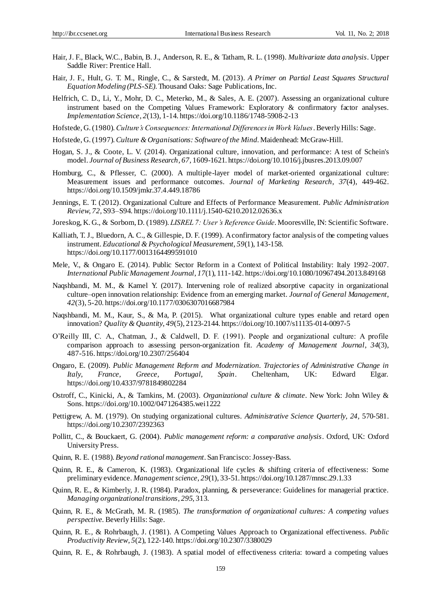- Hair, J. F., Black, W.C., Babin, B. J., Anderson, R. E., & Tatham, R. L. (1998). *Multivariate data analysis*. Upper Saddle River: Prentice Hall.
- Hair, J. F., Hult, G. T. M., Ringle, C., & Sarstedt, M. (2013). *A Primer on Partial Least Squares Structural Equation Modeling (PLS-SE)*. Thousand Oaks: Sage Publications, Inc.
- Helfrich, C. D., Li, Y., Mohr, D. C., Meterko, M., & Sales, A. E. (2007). Assessing an organizational culture instrument based on the Competing Values Framework: Exploratory & confirmatory factor analyses. *Implementation Science*, *2*(13), 1-14. https://doi.org/10.1186/1748-5908-2-13
- Hofstede, G. (1980). *Culture's Consequences: International Differences in Work Values*. Beverly Hills: Sage.
- Hofstede, G. (1997). *Culture & Organisations: Software of the Mind*. Maidenhead: McGraw-Hill.
- Hogan, S. J., & Coote, L. V. (2014). Organizational culture, innovation, and performance: A test of Schein's model. *Journal of Business Research*, *67,* 1609-1621. https://doi.org/10.1016/j.jbusres.2013.09.007
- Homburg, C., & Pflesser, C. (2000). A multiple-layer model of market-oriented organizational culture: Measurement issues and performance outcomes. *Journal of Marketing Research*, *37*(4), 449-462. https://doi.org/10.1509/jmkr.37.4.449.18786
- Jennings, E. T. (2012). Organizational Culture and Effects of Performance Measurement. *Public Administration Review, 72,* S93–S94. https://doi.org/10.1111/j.1540-6210.2012.02636.x
- Joreskog, K. G., & Sorbom, D. (1989). *LISREL 7: User's Reference Guide*. Mooresville, IN: Scientific Software.
- Kalliath, T. J., Bluedorn, A. C., & Gillespie, D. F. (1999). A confirmatory factor analysis of the competing values instrument. *Educational & Psychological Measurement*, *59*(1), 143-158. https://doi.org/10.1177/0013164499591010
- Mele, V., & Ongaro E. (2014). Public Sector Reform in a Context of Political Instability: Italy 1992–2007. *International Public Management Journal*, *17*(1), 111-142. https://doi.org/10.1080/10967494.2013.849168
- Naqshbandi, M. M., & Kamel Y. (2017). Intervening role of realized absorptive capacity in organizational culture–open innovation relationship: Evidence from an emerging market. *Journal of General Management*, *42*(3), 5-20. https://doi.org/10.1177/0306307016687984
- Naqshbandi, M. M., Kaur, S., & Ma, P. (2015). What organizational culture types enable and retard open innovation? *Quality & Quantity*, *49*(5), 2123-2144. https://doi.org/10.1007/s11135-014-0097-5
- O'Reilly III, C. A., Chatman, J., & Caldwell, D. F. (1991). People and organizational culture: A profile comparison approach to assessing person-organization fit. *Academy of Management Journal*, *34*(3), 487-516. https://doi.org/10.2307/256404
- Ongaro, E. (2009). *Public Management Reform and Modernization. Trajectories of Administrative Change in Italy, France, Greece, Portugal, Spain*. Cheltenham, UK: Edward Elgar. https://doi.org/10.4337/9781849802284
- Ostroff, C., Kinicki, A., & Tamkins, M. (2003). *Organizational culture & climate*. New York: John Wiley & Sons. https://doi.org/10.1002/0471264385.wei1222
- Pettigrew, A. M. (1979). On studying organizational cultures. *Administrative Science Quarterly, 24,* 570-581. https://doi.org/10.2307/2392363
- Pollitt, C., & Bouckaert, G. (2004). *Public management reform: a comparative analysis*. Oxford, UK: Oxford University Press.
- Quinn, R. E. (1988). *Beyond rational management*. San Francisco: Jossey-Bass.
- Quinn, R. E., & Cameron, K. (1983). Organizational life cycles & shifting criteria of effectiveness: Some preliminary evidence. *Management science*, *29*(1), 33-51. https://doi.org/10.1287/mnsc.29.1.33
- Quinn, R. E., & Kimberly, J. R. (1984). Paradox, planning, & perseverance: Guidelines for managerial practice. *Managing organizational transitions*, *295,* 313.
- Quinn, R. E., & McGrath, M. R. (1985). *The transformation of organizational cultures: A competing values perspective.* Beverly Hills: Sage.
- Quinn, R. E., & Rohrbaugh, J. (1981). A Competing Values Approach to Organizational effectiveness. *Public Productivity Review*, *5*(2), 122-140. https://doi.org/10.2307/3380029
- Quinn, R. E., & Rohrbaugh, J. (1983). A spatial model of effectiveness criteria: toward a competing values